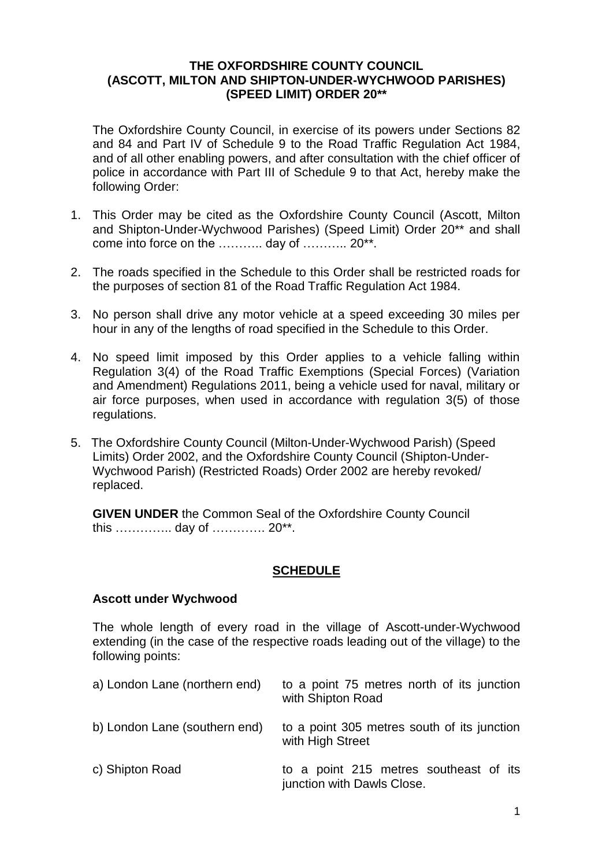#### **THE OXFORDSHIRE COUNTY COUNCIL (ASCOTT, MILTON AND SHIPTON-UNDER-WYCHWOOD PARISHES) (SPEED LIMIT) ORDER 20\*\***

The Oxfordshire County Council, in exercise of its powers under Sections 82 and 84 and Part IV of Schedule 9 to the Road Traffic Regulation Act 1984, and of all other enabling powers, and after consultation with the chief officer of police in accordance with Part III of Schedule 9 to that Act, hereby make the following Order:

- 1. This Order may be cited as the Oxfordshire County Council (Ascott, Milton and Shipton-Under-Wychwood Parishes) (Speed Limit) Order 20\*\* and shall come into force on the ……….. day of ……….. 20\*\*.
- 2. The roads specified in the Schedule to this Order shall be restricted roads for the purposes of section 81 of the Road Traffic Regulation Act 1984.
- 3. No person shall drive any motor vehicle at a speed exceeding 30 miles per hour in any of the lengths of road specified in the Schedule to this Order.
- 4. No speed limit imposed by this Order applies to a vehicle falling within Regulation 3(4) of the Road Traffic Exemptions (Special Forces) (Variation and Amendment) Regulations 2011, being a vehicle used for naval, military or air force purposes, when used in accordance with regulation 3(5) of those regulations.
- 5. The Oxfordshire County Council (Milton-Under-Wychwood Parish) (Speed Limits) Order 2002, and the Oxfordshire County Council (Shipton-Under-Wychwood Parish) (Restricted Roads) Order 2002 are hereby revoked/ replaced.

**GIVEN UNDER** the Common Seal of the Oxfordshire County Council this ………….. day of …………. 20\*\*.

### **SCHEDULE**

#### **Ascott under Wychwood**

The whole length of every road in the village of Ascott-under-Wychwood extending (in the case of the respective roads leading out of the village) to the following points:

| a) London Lane (northern end) | to a point 75 metres north of its junction<br>with Shipton Road      |
|-------------------------------|----------------------------------------------------------------------|
| b) London Lane (southern end) | to a point 305 metres south of its junction<br>with High Street      |
| c) Shipton Road               | to a point 215 metres southeast of its<br>junction with Dawls Close. |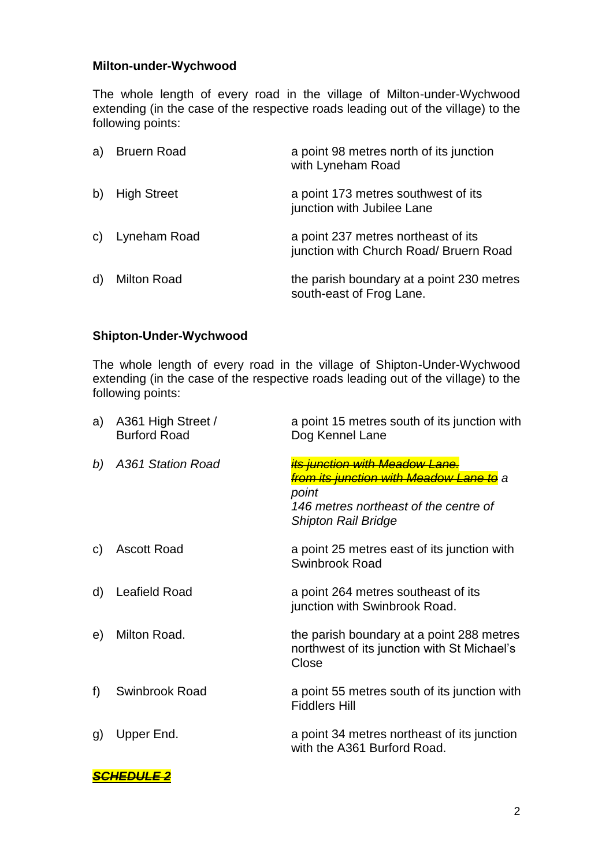## **Milton-under-Wychwood**

The whole length of every road in the village of Milton-under-Wychwood extending (in the case of the respective roads leading out of the village) to the following points:

| a) | <b>Bruern Road</b> | a point 98 metres north of its junction<br>with Lyneham Road                  |
|----|--------------------|-------------------------------------------------------------------------------|
| b) | <b>High Street</b> | a point 173 metres southwest of its<br>junction with Jubilee Lane             |
|    | c) Lyneham Road    | a point 237 metres northeast of its<br>junction with Church Road/ Bruern Road |
| d) | <b>Milton Road</b> | the parish boundary at a point 230 metres<br>south-east of Frog Lane.         |

# **Shipton-Under-Wychwood**

The whole length of every road in the village of Shipton-Under-Wychwood extending (in the case of the respective roads leading out of the village) to the following points:

| a) | A361 High Street /<br><b>Burford Road</b> | a point 15 metres south of its junction with<br>Dog Kennel Lane                                                                                                                   |
|----|-------------------------------------------|-----------------------------------------------------------------------------------------------------------------------------------------------------------------------------------|
| b) | A361 Station Road                         | <mark>its junction with Meadow Lane.</mark><br><del>from its junction with Meadow Lane to</del> a<br>point<br>146 metres northeast of the centre of<br><b>Shipton Rail Bridge</b> |
| C) | <b>Ascott Road</b>                        | a point 25 metres east of its junction with<br>Swinbrook Road                                                                                                                     |
| d) | <b>Leafield Road</b>                      | a point 264 metres southeast of its<br>junction with Swinbrook Road.                                                                                                              |
| e) | Milton Road.                              | the parish boundary at a point 288 metres<br>northwest of its junction with St Michael's<br>Close                                                                                 |
| f) | Swinbrook Road                            | a point 55 metres south of its junction with<br><b>Fiddlers Hill</b>                                                                                                              |
| g) | Upper End.                                | a point 34 metres northeast of its junction<br>with the A361 Burford Road.                                                                                                        |